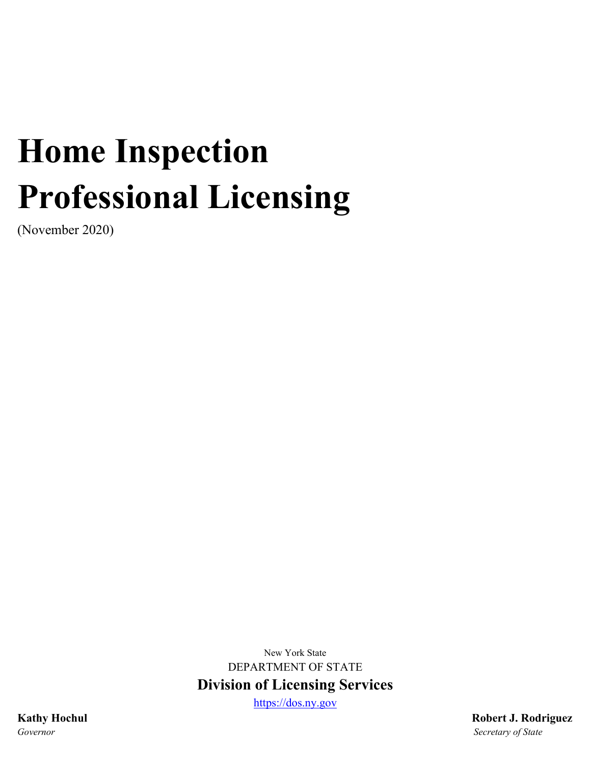# **Home Inspection Professional Licensing**

(November 2020)

New York State DEPARTMENT OF STATE **Division of Licensing Services**

[https://dos.ny.gov](https://dos.ny.gov/)

**Kathy Hochul Robert J. Rodriguez** *Governor Secretary of State*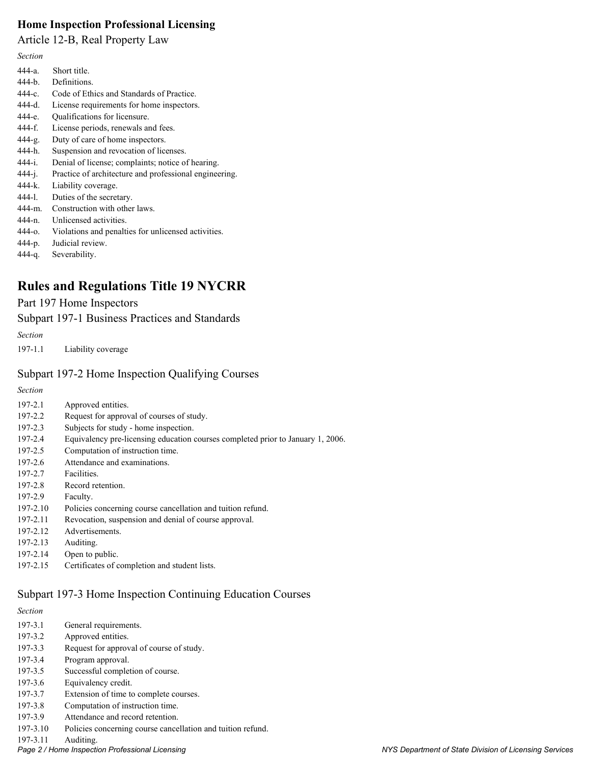#### **Home Inspection Professional Licensing**

Article 12-B, Real Property Law

*Section*

| $444-a$     | Short title.                                           |
|-------------|--------------------------------------------------------|
| $444-h$ .   | Definitions.                                           |
| 444-c.      | Code of Ethics and Standards of Practice.              |
| $444-d.$    | License requirements for home inspectors.              |
| 444-е.      | Qualifications for licensure.                          |
| 444-f.      | License periods, renewals and fees.                    |
| $444-g.$    | Duty of care of home inspectors.                       |
| 444-h.      | Suspension and revocation of licenses.                 |
| 444-i.      | Denial of license; complaints; notice of hearing.      |
| $444 - i.$  | Practice of architecture and professional engineering. |
| $444-k.$    | Liability coverage.                                    |
| 444-1.      | Duties of the secretary.                               |
| $444-m.$    | Construction with other laws.                          |
| $444 - n$ . | Unlicensed activities.                                 |
| $444 - 0.$  | Violations and penalties for unlicensed activities.    |
| 444-p.      | Judicial review.                                       |

444-q. Severability.

# **Rules and Regulations Title 19 NYCRR**

#### Part 197 Home Inspectors

Subpart 197-1 Business Practices and Standards

*Section*

197-1.1 Liability coverage

#### Subpart 197-2 Home Inspection Qualifying Courses

*Section*

| 197-2.1     | Approved entities.                                                              |
|-------------|---------------------------------------------------------------------------------|
| 197-2.2     | Request for approval of courses of study.                                       |
| 197-2.3     | Subjects for study - home inspection.                                           |
| 197-2.4     | Equivalency pre-licensing education courses completed prior to January 1, 2006. |
| 197-2.5     | Computation of instruction time.                                                |
| 197-2.6     | Attendance and examinations.                                                    |
| 197-2.7     | Facilities.                                                                     |
| $197 - 2.8$ | Record retention.                                                               |
| 197-2.9     | Faculty.                                                                        |
| 197-2.10    | Policies concerning course cancellation and tuition refund.                     |
| 197-2.11    | Revocation, suspension and denial of course approval.                           |
| 197-2.12    | Advertisements.                                                                 |
| 197-2.13    | Auditing.                                                                       |
| 197-2.14    | Open to public.                                                                 |
| 197-2.15    | Certificates of completion and student lists.                                   |
|             |                                                                                 |
|             |                                                                                 |

## Subpart 197-3 Home Inspection Continuing Education Courses

| <b>Section</b> |                                                             |
|----------------|-------------------------------------------------------------|
| 197-3.1        | General requirements.                                       |
| 197-3.2        | Approved entities.                                          |
| 197-3.3        | Request for approval of course of study.                    |
| 197-3.4        | Program approval.                                           |
| 197-3.5        | Successful completion of course.                            |
| 197-3.6        | Equivalency credit.                                         |
| 197-3.7        | Extension of time to complete courses.                      |
| 197-3.8        | Computation of instruction time.                            |
| 197-3.9        | Attendance and record retention.                            |
| 197-3.10       | Policies concerning course cancellation and tuition refund. |
|                |                                                             |

197-3.11 Auditing.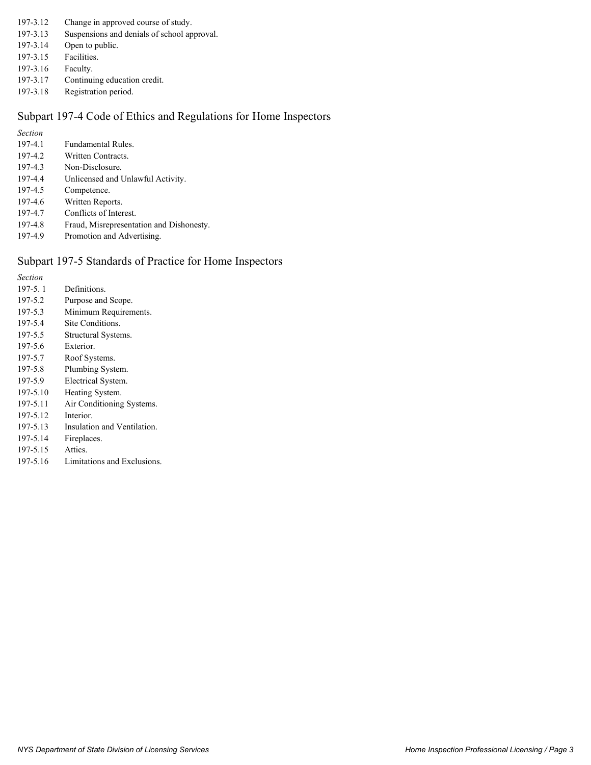- 197-3.12 Change in approved course of study.
- 197-3.13 Suspensions and denials of school approval.
- 197-3.14 Open to public.
- 197-3.15 Facilities.
- 197-3.16 Faculty.
- 197-3.17 Continuing education credit.
- 197-3.18 Registration period.

#### Subpart 197-4 Code of Ethics and Regulations for Home Inspectors

*Section*

- 197-4.1 Fundamental Rules.
- 197-4.2 Written Contracts.
- 197-4.3 Non-Disclosure.
- 197-4.4 Unlicensed and Unlawful Activity.
- 197-4.5 Competence.
- 197-4.6 Written Reports.
- 197-4.7 Conflicts of Interest.
- 197-4.8 Fraud, Misrepresentation and Dishonesty.
- 197-4.9 Promotion and Advertising.

#### Subpart 197-5 Standards of Practice for Home Inspectors

*Section* 197-5. 1 Definitions. 197-5.2 Purpose and Scope. 197-5.3 Minimum Requirements. 197-5.4 Site Conditions. 197-5.5 Structural Systems. 197-5.6 Exterior. 197-5.7 Roof Systems. 197-5.8 Plumbing System. 197-5.9 Electrical System. 197-5.10 Heating System. 197-5.11 Air Conditioning Systems. 197-5.12 Interior. 197-5.13 Insulation and Ventilation. 197-5.14 Fireplaces. 197-5.15 Attics. 197-5.16 Limitations and Exclusions.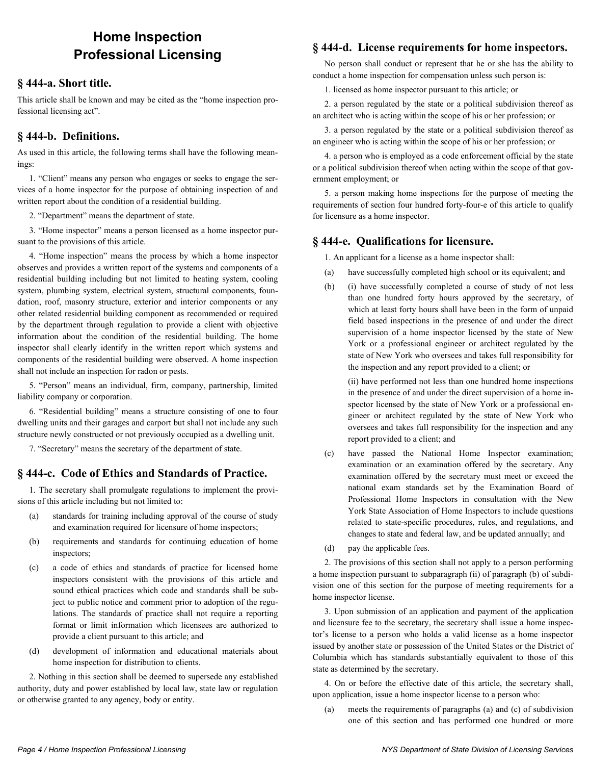# **Home Inspection Professional Licensing**

#### **§ 444-a. Short title.**

This article shall be known and may be cited as the "home inspection professional licensing act".

#### **§ 444-b. Definitions.**

As used in this article, the following terms shall have the following meanings:

1. "Client" means any person who engages or seeks to engage the services of a home inspector for the purpose of obtaining inspection of and written report about the condition of a residential building.

2. "Department" means the department of state.

3. "Home inspector" means a person licensed as a home inspector pursuant to the provisions of this article.

4. "Home inspection" means the process by which a home inspector observes and provides a written report of the systems and components of a residential building including but not limited to heating system, cooling system, plumbing system, electrical system, structural components, foundation, roof, masonry structure, exterior and interior components or any other related residential building component as recommended or required by the department through regulation to provide a client with objective information about the condition of the residential building. The home inspector shall clearly identify in the written report which systems and components of the residential building were observed. A home inspection shall not include an inspection for radon or pests.

5. "Person" means an individual, firm, company, partnership, limited liability company or corporation.

6. "Residential building" means a structure consisting of one to four dwelling units and their garages and carport but shall not include any such structure newly constructed or not previously occupied as a dwelling unit.

7. "Secretary" means the secretary of the department of state.

#### **§ 444-c. Code of Ethics and Standards of Practice.**

1. The secretary shall promulgate regulations to implement the provisions of this article including but not limited to:

- (a) standards for training including approval of the course of study and examination required for licensure of home inspectors;
- (b) requirements and standards for continuing education of home inspectors;
- (c) a code of ethics and standards of practice for licensed home inspectors consistent with the provisions of this article and sound ethical practices which code and standards shall be subject to public notice and comment prior to adoption of the regulations. The standards of practice shall not require a reporting format or limit information which licensees are authorized to provide a client pursuant to this article; and
- (d) development of information and educational materials about home inspection for distribution to clients.

2. Nothing in this section shall be deemed to supersede any established authority, duty and power established by local law, state law or regulation or otherwise granted to any agency, body or entity.

#### **§ 444-d. License requirements for home inspectors.**

No person shall conduct or represent that he or she has the ability to conduct a home inspection for compensation unless such person is:

1. licensed as home inspector pursuant to this article; or

2. a person regulated by the state or a political subdivision thereof as an architect who is acting within the scope of his or her profession; or

3. a person regulated by the state or a political subdivision thereof as an engineer who is acting within the scope of his or her profession; or

4. a person who is employed as a code enforcement official by the state or a political subdivision thereof when acting within the scope of that government employment; or

5. a person making home inspections for the purpose of meeting the requirements of section four hundred forty-four-e of this article to qualify for licensure as a home inspector.

#### **§ 444-e. Qualifications for licensure.**

1. An applicant for a license as a home inspector shall:

- (a) have successfully completed high school or its equivalent; and
- (b) (i) have successfully completed a course of study of not less than one hundred forty hours approved by the secretary, of which at least forty hours shall have been in the form of unpaid field based inspections in the presence of and under the direct supervision of a home inspector licensed by the state of New York or a professional engineer or architect regulated by the state of New York who oversees and takes full responsibility for the inspection and any report provided to a client; or

(ii) have performed not less than one hundred home inspections in the presence of and under the direct supervision of a home inspector licensed by the state of New York or a professional engineer or architect regulated by the state of New York who oversees and takes full responsibility for the inspection and any report provided to a client; and

- (c) have passed the National Home Inspector examination; examination or an examination offered by the secretary. Any examination offered by the secretary must meet or exceed the national exam standards set by the Examination Board of Professional Home Inspectors in consultation with the New York State Association of Home Inspectors to include questions related to state-specific procedures, rules, and regulations, and changes to state and federal law, and be updated annually; and
- (d) pay the applicable fees.

2. The provisions of this section shall not apply to a person performing a home inspection pursuant to subparagraph (ii) of paragraph (b) of subdivision one of this section for the purpose of meeting requirements for a home inspector license.

3. Upon submission of an application and payment of the application and licensure fee to the secretary, the secretary shall issue a home inspector's license to a person who holds a valid license as a home inspector issued by another state or possession of the United States or the District of Columbia which has standards substantially equivalent to those of this state as determined by the secretary.

4. On or before the effective date of this article, the secretary shall, upon application, issue a home inspector license to a person who:

(a) meets the requirements of paragraphs (a) and (c) of subdivision one of this section and has performed one hundred or more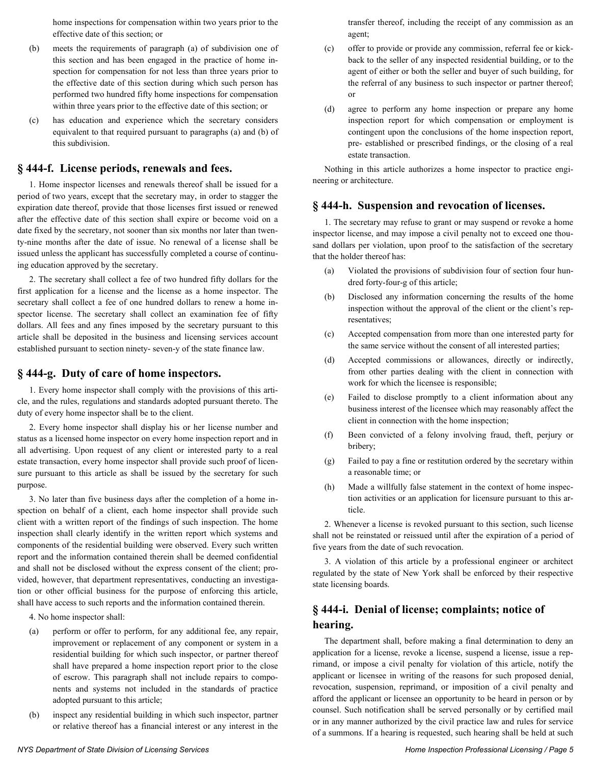home inspections for compensation within two years prior to the effective date of this section; or

- (b) meets the requirements of paragraph (a) of subdivision one of this section and has been engaged in the practice of home inspection for compensation for not less than three years prior to the effective date of this section during which such person has performed two hundred fifty home inspections for compensation within three years prior to the effective date of this section; or
- (c) has education and experience which the secretary considers equivalent to that required pursuant to paragraphs (a) and (b) of this subdivision.

#### **§ 444-f. License periods, renewals and fees.**

1. Home inspector licenses and renewals thereof shall be issued for a period of two years, except that the secretary may, in order to stagger the expiration date thereof, provide that those licenses first issued or renewed after the effective date of this section shall expire or become void on a date fixed by the secretary, not sooner than six months nor later than twenty-nine months after the date of issue. No renewal of a license shall be issued unless the applicant has successfully completed a course of continuing education approved by the secretary.

2. The secretary shall collect a fee of two hundred fifty dollars for the first application for a license and the license as a home inspector. The secretary shall collect a fee of one hundred dollars to renew a home inspector license. The secretary shall collect an examination fee of fifty dollars. All fees and any fines imposed by the secretary pursuant to this article shall be deposited in the business and licensing services account established pursuant to section ninety- seven-y of the state finance law.

#### **§ 444-g. Duty of care of home inspectors.**

1. Every home inspector shall comply with the provisions of this article, and the rules, regulations and standards adopted pursuant thereto. The duty of every home inspector shall be to the client.

2. Every home inspector shall display his or her license number and status as a licensed home inspector on every home inspection report and in all advertising. Upon request of any client or interested party to a real estate transaction, every home inspector shall provide such proof of licensure pursuant to this article as shall be issued by the secretary for such purpose.

3. No later than five business days after the completion of a home inspection on behalf of a client, each home inspector shall provide such client with a written report of the findings of such inspection. The home inspection shall clearly identify in the written report which systems and components of the residential building were observed. Every such written report and the information contained therein shall be deemed confidential and shall not be disclosed without the express consent of the client; provided, however, that department representatives, conducting an investigation or other official business for the purpose of enforcing this article, shall have access to such reports and the information contained therein.

4. No home inspector shall:

- (a) perform or offer to perform, for any additional fee, any repair, improvement or replacement of any component or system in a residential building for which such inspector, or partner thereof shall have prepared a home inspection report prior to the close of escrow. This paragraph shall not include repairs to components and systems not included in the standards of practice adopted pursuant to this article;
- (b) inspect any residential building in which such inspector, partner or relative thereof has a financial interest or any interest in the

transfer thereof, including the receipt of any commission as an agent;

- (c) offer to provide or provide any commission, referral fee or kickback to the seller of any inspected residential building, or to the agent of either or both the seller and buyer of such building, for the referral of any business to such inspector or partner thereof; or
- (d) agree to perform any home inspection or prepare any home inspection report for which compensation or employment is contingent upon the conclusions of the home inspection report, pre- established or prescribed findings, or the closing of a real estate transaction.

Nothing in this article authorizes a home inspector to practice engineering or architecture.

#### **§ 444-h. Suspension and revocation of licenses.**

1. The secretary may refuse to grant or may suspend or revoke a home inspector license, and may impose a civil penalty not to exceed one thousand dollars per violation, upon proof to the satisfaction of the secretary that the holder thereof has:

- (a) Violated the provisions of subdivision four of section four hundred forty-four-g of this article;
- (b) Disclosed any information concerning the results of the home inspection without the approval of the client or the client's representatives;
- (c) Accepted compensation from more than one interested party for the same service without the consent of all interested parties;
- (d) Accepted commissions or allowances, directly or indirectly, from other parties dealing with the client in connection with work for which the licensee is responsible;
- (e) Failed to disclose promptly to a client information about any business interest of the licensee which may reasonably affect the client in connection with the home inspection;
- (f) Been convicted of a felony involving fraud, theft, perjury or bribery;
- (g) Failed to pay a fine or restitution ordered by the secretary within a reasonable time; or
- (h) Made a willfully false statement in the context of home inspection activities or an application for licensure pursuant to this article.

2. Whenever a license is revoked pursuant to this section, such license shall not be reinstated or reissued until after the expiration of a period of five years from the date of such revocation.

3. A violation of this article by a professional engineer or architect regulated by the state of New York shall be enforced by their respective state licensing boards.

# **§ 444-i. Denial of license; complaints; notice of hearing.**

The department shall, before making a final determination to deny an application for a license, revoke a license, suspend a license, issue a reprimand, or impose a civil penalty for violation of this article, notify the applicant or licensee in writing of the reasons for such proposed denial, revocation, suspension, reprimand, or imposition of a civil penalty and afford the applicant or licensee an opportunity to be heard in person or by counsel. Such notification shall be served personally or by certified mail or in any manner authorized by the civil practice law and rules for service of a summons. If a hearing is requested, such hearing shall be held at such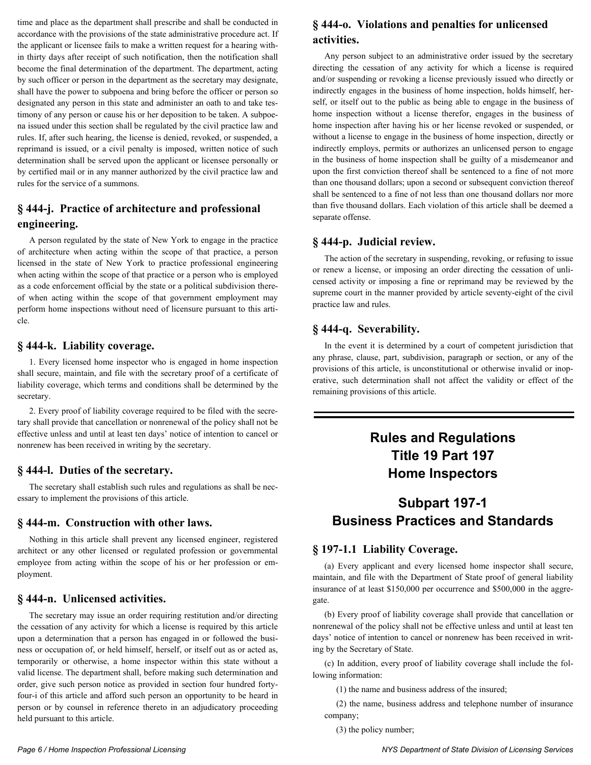time and place as the department shall prescribe and shall be conducted in accordance with the provisions of the state administrative procedure act. If the applicant or licensee fails to make a written request for a hearing within thirty days after receipt of such notification, then the notification shall become the final determination of the department. The department, acting by such officer or person in the department as the secretary may designate, shall have the power to subpoena and bring before the officer or person so designated any person in this state and administer an oath to and take testimony of any person or cause his or her deposition to be taken. A subpoena issued under this section shall be regulated by the civil practice law and rules. If, after such hearing, the license is denied, revoked, or suspended, a reprimand is issued, or a civil penalty is imposed, written notice of such determination shall be served upon the applicant or licensee personally or by certified mail or in any manner authorized by the civil practice law and rules for the service of a summons.

#### **§ 444-j. Practice of architecture and professional engineering.**

A person regulated by the state of New York to engage in the practice of architecture when acting within the scope of that practice, a person licensed in the state of New York to practice professional engineering when acting within the scope of that practice or a person who is employed as a code enforcement official by the state or a political subdivision thereof when acting within the scope of that government employment may perform home inspections without need of licensure pursuant to this article.

#### **§ 444-k. Liability coverage.**

1. Every licensed home inspector who is engaged in home inspection shall secure, maintain, and file with the secretary proof of a certificate of liability coverage, which terms and conditions shall be determined by the secretary.

2. Every proof of liability coverage required to be filed with the secretary shall provide that cancellation or nonrenewal of the policy shall not be effective unless and until at least ten days' notice of intention to cancel or nonrenew has been received in writing by the secretary.

#### **§ 444-l. Duties of the secretary.**

The secretary shall establish such rules and regulations as shall be necessary to implement the provisions of this article.

#### **§ 444-m. Construction with other laws.**

Nothing in this article shall prevent any licensed engineer, registered architect or any other licensed or regulated profession or governmental employee from acting within the scope of his or her profession or employment.

#### **§ 444-n. Unlicensed activities.**

The secretary may issue an order requiring restitution and/or directing the cessation of any activity for which a license is required by this article upon a determination that a person has engaged in or followed the business or occupation of, or held himself, herself, or itself out as or acted as, temporarily or otherwise, a home inspector within this state without a valid license. The department shall, before making such determination and order, give such person notice as provided in section four hundred fortyfour-i of this article and afford such person an opportunity to be heard in person or by counsel in reference thereto in an adjudicatory proceeding held pursuant to this article.

# **§ 444-o. Violations and penalties for unlicensed activities.**

Any person subject to an administrative order issued by the secretary directing the cessation of any activity for which a license is required and/or suspending or revoking a license previously issued who directly or indirectly engages in the business of home inspection, holds himself, herself, or itself out to the public as being able to engage in the business of home inspection without a license therefor, engages in the business of home inspection after having his or her license revoked or suspended, or without a license to engage in the business of home inspection, directly or indirectly employs, permits or authorizes an unlicensed person to engage in the business of home inspection shall be guilty of a misdemeanor and upon the first conviction thereof shall be sentenced to a fine of not more than one thousand dollars; upon a second or subsequent conviction thereof shall be sentenced to a fine of not less than one thousand dollars nor more than five thousand dollars. Each violation of this article shall be deemed a separate offense.

#### **§ 444-p. Judicial review.**

The action of the secretary in suspending, revoking, or refusing to issue or renew a license, or imposing an order directing the cessation of unlicensed activity or imposing a fine or reprimand may be reviewed by the supreme court in the manner provided by article seventy-eight of the civil practice law and rules.

#### **§ 444-q. Severability.**

In the event it is determined by a court of competent jurisdiction that any phrase, clause, part, subdivision, paragraph or section, or any of the provisions of this article, is unconstitutional or otherwise invalid or inoperative, such determination shall not affect the validity or effect of the remaining provisions of this article.

# **Rules and Regulations Title 19 Part 197 Home Inspectors**

# **Subpart 197-1 Business Practices and Standards**

#### **§ 197-1.1 Liability Coverage.**

(a) Every applicant and every licensed home inspector shall secure, maintain, and file with the Department of State proof of general liability insurance of at least \$150,000 per occurrence and \$500,000 in the aggregate.

(b) Every proof of liability coverage shall provide that cancellation or nonrenewal of the policy shall not be effective unless and until at least ten days' notice of intention to cancel or nonrenew has been received in writing by the Secretary of State.

(c) In addition, every proof of liability coverage shall include the following information:

(1) the name and business address of the insured;

(2) the name, business address and telephone number of insurance company;

(3) the policy number;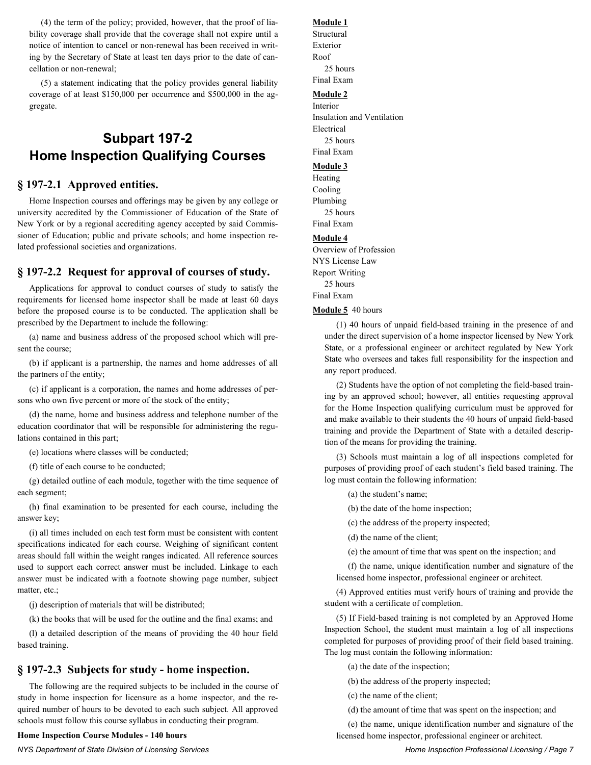(4) the term of the policy; provided, however, that the proof of liability coverage shall provide that the coverage shall not expire until a notice of intention to cancel or non-renewal has been received in writing by the Secretary of State at least ten days prior to the date of cancellation or non-renewal;

(5) a statement indicating that the policy provides general liability coverage of at least \$150,000 per occurrence and \$500,000 in the aggregate.

# **Subpart 197-2 Home Inspection Qualifying Courses**

#### **§ 197-2.1 Approved entities.**

Home Inspection courses and offerings may be given by any college or university accredited by the Commissioner of Education of the State of New York or by a regional accrediting agency accepted by said Commissioner of Education; public and private schools; and home inspection related professional societies and organizations.

#### **§ 197-2.2 Request for approval of courses of study.**

Applications for approval to conduct courses of study to satisfy the requirements for licensed home inspector shall be made at least 60 days before the proposed course is to be conducted. The application shall be prescribed by the Department to include the following:

(a) name and business address of the proposed school which will present the course;

(b) if applicant is a partnership, the names and home addresses of all the partners of the entity;

(c) if applicant is a corporation, the names and home addresses of persons who own five percent or more of the stock of the entity;

(d) the name, home and business address and telephone number of the education coordinator that will be responsible for administering the regulations contained in this part;

(e) locations where classes will be conducted;

(f) title of each course to be conducted;

(g) detailed outline of each module, together with the time sequence of each segment;

(h) final examination to be presented for each course, including the answer key;

(i) all times included on each test form must be consistent with content specifications indicated for each course. Weighing of significant content areas should fall within the weight ranges indicated. All reference sources used to support each correct answer must be included. Linkage to each answer must be indicated with a footnote showing page number, subject matter, etc.;

(j) description of materials that will be distributed;

(k) the books that will be used for the outline and the final exams; and

(l) a detailed description of the means of providing the 40 hour field based training.

#### **§ 197-2.3 Subjects for study - home inspection.**

The following are the required subjects to be included in the course of study in home inspection for licensure as a home inspector, and the required number of hours to be devoted to each such subject. All approved schools must follow this course syllabus in conducting their program.

#### **Home Inspection Course Modules - 140 hours**

#### *NYS Department of State Division of Licensing Services Home Inspection Professional Licensing / Page 7*

#### **Module 1**

Structural Exterior Roof 25 hours Final Exam **Module 2**

#### Interior

Insulation and Ventilation Electrical 25 hours Final Exam

#### **Module 3**

Heating Cooling Plumbing 25 hours

Final Exam

#### **Module 4**

Overview of Profession NYS License Law Report Writing 25 hours Final Exam

#### **Module 5** 40 hours

(1) 40 hours of unpaid field-based training in the presence of and under the direct supervision of a home inspector licensed by New York State, or a professional engineer or architect regulated by New York State who oversees and takes full responsibility for the inspection and any report produced.

(2) Students have the option of not completing the field-based training by an approved school; however, all entities requesting approval for the Home Inspection qualifying curriculum must be approved for and make available to their students the 40 hours of unpaid field-based training and provide the Department of State with a detailed description of the means for providing the training.

(3) Schools must maintain a log of all inspections completed for purposes of providing proof of each student's field based training. The log must contain the following information:

(a) the student's name;

(b) the date of the home inspection;

(c) the address of the property inspected;

(d) the name of the client;

(e) the amount of time that was spent on the inspection; and

(f) the name, unique identification number and signature of the licensed home inspector, professional engineer or architect.

(4) Approved entities must verify hours of training and provide the student with a certificate of completion.

(5) If Field-based training is not completed by an Approved Home Inspection School, the student must maintain a log of all inspections completed for purposes of providing proof of their field based training. The log must contain the following information:

(a) the date of the inspection;

(b) the address of the property inspected;

(c) the name of the client;

(d) the amount of time that was spent on the inspection; and

(e) the name, unique identification number and signature of the licensed home inspector, professional engineer or architect.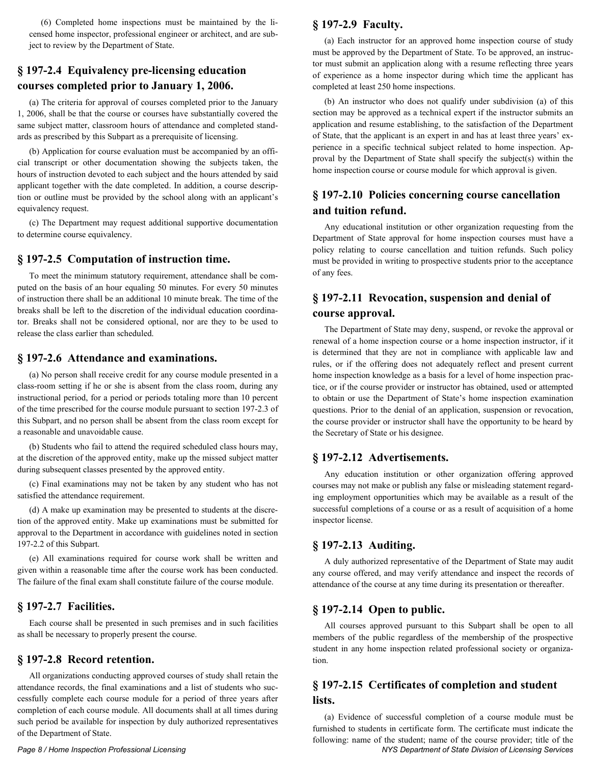(6) Completed home inspections must be maintained by the licensed home inspector, professional engineer or architect, and are subject to review by the Department of State.

#### **§ 197-2.4 Equivalency pre-licensing education courses completed prior to January 1, 2006.**

(a) The criteria for approval of courses completed prior to the January 1, 2006, shall be that the course or courses have substantially covered the same subject matter, classroom hours of attendance and completed standards as prescribed by this Subpart as a prerequisite of licensing.

(b) Application for course evaluation must be accompanied by an official transcript or other documentation showing the subjects taken, the hours of instruction devoted to each subject and the hours attended by said applicant together with the date completed. In addition, a course description or outline must be provided by the school along with an applicant's equivalency request.

(c) The Department may request additional supportive documentation to determine course equivalency.

#### **§ 197-2.5 Computation of instruction time.**

To meet the minimum statutory requirement, attendance shall be computed on the basis of an hour equaling 50 minutes. For every 50 minutes of instruction there shall be an additional 10 minute break. The time of the breaks shall be left to the discretion of the individual education coordinator. Breaks shall not be considered optional, nor are they to be used to release the class earlier than scheduled.

#### **§ 197-2.6 Attendance and examinations.**

(a) No person shall receive credit for any course module presented in a class-room setting if he or she is absent from the class room, during any instructional period, for a period or periods totaling more than 10 percent of the time prescribed for the course module pursuant to section 197-2.3 of this Subpart, and no person shall be absent from the class room except for a reasonable and unavoidable cause.

(b) Students who fail to attend the required scheduled class hours may, at the discretion of the approved entity, make up the missed subject matter during subsequent classes presented by the approved entity.

(c) Final examinations may not be taken by any student who has not satisfied the attendance requirement.

(d) A make up examination may be presented to students at the discretion of the approved entity. Make up examinations must be submitted for approval to the Department in accordance with guidelines noted in section 197-2.2 of this Subpart.

(e) All examinations required for course work shall be written and given within a reasonable time after the course work has been conducted. The failure of the final exam shall constitute failure of the course module.

#### **§ 197-2.7 Facilities.**

Each course shall be presented in such premises and in such facilities as shall be necessary to properly present the course.

#### **§ 197-2.8 Record retention.**

All organizations conducting approved courses of study shall retain the attendance records, the final examinations and a list of students who successfully complete each course module for a period of three years after completion of each course module. All documents shall at all times during such period be available for inspection by duly authorized representatives of the Department of State.

#### **§ 197-2.9 Faculty.**

(a) Each instructor for an approved home inspection course of study must be approved by the Department of State. To be approved, an instructor must submit an application along with a resume reflecting three years of experience as a home inspector during which time the applicant has completed at least 250 home inspections.

(b) An instructor who does not qualify under subdivision (a) of this section may be approved as a technical expert if the instructor submits an application and resume establishing, to the satisfaction of the Department of State, that the applicant is an expert in and has at least three years' experience in a specific technical subject related to home inspection. Approval by the Department of State shall specify the subject(s) within the home inspection course or course module for which approval is given.

#### **§ 197-2.10 Policies concerning course cancellation and tuition refund.**

Any educational institution or other organization requesting from the Department of State approval for home inspection courses must have a policy relating to course cancellation and tuition refunds. Such policy must be provided in writing to prospective students prior to the acceptance of any fees.

## **§ 197-2.11 Revocation, suspension and denial of course approval.**

The Department of State may deny, suspend, or revoke the approval or renewal of a home inspection course or a home inspection instructor, if it is determined that they are not in compliance with applicable law and rules, or if the offering does not adequately reflect and present current home inspection knowledge as a basis for a level of home inspection practice, or if the course provider or instructor has obtained, used or attempted to obtain or use the Department of State's home inspection examination questions. Prior to the denial of an application, suspension or revocation, the course provider or instructor shall have the opportunity to be heard by the Secretary of State or his designee.

#### **§ 197-2.12 Advertisements.**

Any education institution or other organization offering approved courses may not make or publish any false or misleading statement regarding employment opportunities which may be available as a result of the successful completions of a course or as a result of acquisition of a home inspector license.

#### **§ 197-2.13 Auditing.**

A duly authorized representative of the Department of State may audit any course offered, and may verify attendance and inspect the records of attendance of the course at any time during its presentation or thereafter.

#### **§ 197-2.14 Open to public.**

All courses approved pursuant to this Subpart shall be open to all members of the public regardless of the membership of the prospective student in any home inspection related professional society or organization.

#### **§ 197-2.15 Certificates of completion and student lists.**

*Page 8 / Home Inspection Professional Licensing NYS Department of State Division of Licensing Services* (a) Evidence of successful completion of a course module must be furnished to students in certificate form. The certificate must indicate the following: name of the student; name of the course provider; title of the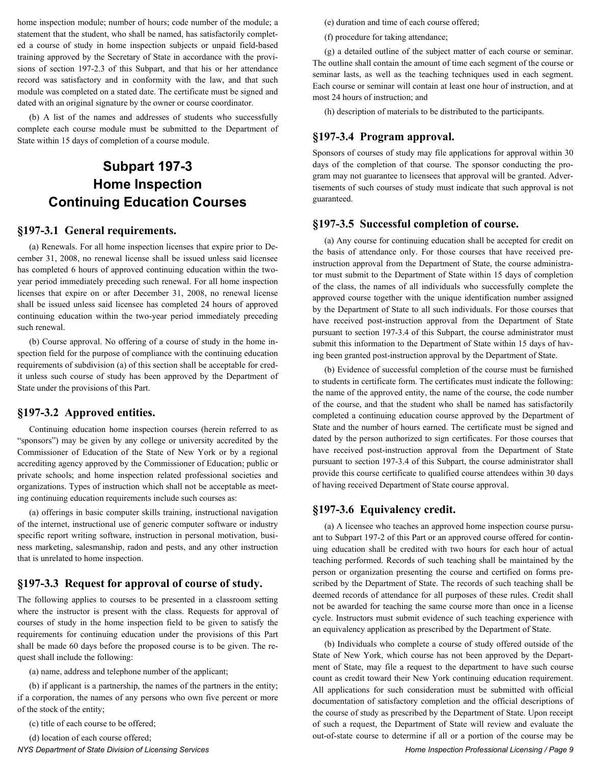home inspection module; number of hours; code number of the module; a statement that the student, who shall be named, has satisfactorily completed a course of study in home inspection subjects or unpaid field-based training approved by the Secretary of State in accordance with the provisions of section 197-2.3 of this Subpart, and that his or her attendance record was satisfactory and in conformity with the law, and that such module was completed on a stated date. The certificate must be signed and dated with an original signature by the owner or course coordinator.

(b) A list of the names and addresses of students who successfully complete each course module must be submitted to the Department of State within 15 days of completion of a course module.

# **Subpart 197-3 Home Inspection Continuing Education Courses**

#### **§197-3.1 General requirements.**

(a) Renewals. For all home inspection licenses that expire prior to December 31, 2008, no renewal license shall be issued unless said licensee has completed 6 hours of approved continuing education within the twoyear period immediately preceding such renewal. For all home inspection licenses that expire on or after December 31, 2008, no renewal license shall be issued unless said licensee has completed 24 hours of approved continuing education within the two-year period immediately preceding such renewal.

(b) Course approval. No offering of a course of study in the home inspection field for the purpose of compliance with the continuing education requirements of subdivision (a) of this section shall be acceptable for credit unless such course of study has been approved by the Department of State under the provisions of this Part.

#### **§197-3.2 Approved entities.**

Continuing education home inspection courses (herein referred to as "sponsors") may be given by any college or university accredited by the Commissioner of Education of the State of New York or by a regional accrediting agency approved by the Commissioner of Education; public or private schools; and home inspection related professional societies and organizations. Types of instruction which shall not be acceptable as meeting continuing education requirements include such courses as:

(a) offerings in basic computer skills training, instructional navigation of the internet, instructional use of generic computer software or industry specific report writing software, instruction in personal motivation, business marketing, salesmanship, radon and pests, and any other instruction that is unrelated to home inspection.

#### **§197-3.3 Request for approval of course of study.**

The following applies to courses to be presented in a classroom setting where the instructor is present with the class. Requests for approval of courses of study in the home inspection field to be given to satisfy the requirements for continuing education under the provisions of this Part shall be made 60 days before the proposed course is to be given. The request shall include the following:

(a) name, address and telephone number of the applicant;

(b) if applicant is a partnership, the names of the partners in the entity; if a corporation, the names of any persons who own five percent or more of the stock of the entity;

(c) title of each course to be offered;

(d) location of each course offered;

*NYS Department of State Division of Licensing Services Home Inspection Professional Licensing / Page 9*

(e) duration and time of each course offered;

(f) procedure for taking attendance;

(g) a detailed outline of the subject matter of each course or seminar. The outline shall contain the amount of time each segment of the course or seminar lasts, as well as the teaching techniques used in each segment. Each course or seminar will contain at least one hour of instruction, and at most 24 hours of instruction; and

(h) description of materials to be distributed to the participants.

#### **§197-3.4 Program approval.**

Sponsors of courses of study may file applications for approval within 30 days of the completion of that course. The sponsor conducting the program may not guarantee to licensees that approval will be granted. Advertisements of such courses of study must indicate that such approval is not guaranteed.

#### **§197-3.5 Successful completion of course.**

(a) Any course for continuing education shall be accepted for credit on the basis of attendance only. For those courses that have received preinstruction approval from the Department of State, the course administrator must submit to the Department of State within 15 days of completion of the class, the names of all individuals who successfully complete the approved course together with the unique identification number assigned by the Department of State to all such individuals. For those courses that have received post-instruction approval from the Department of State pursuant to section 197-3.4 of this Subpart, the course administrator must submit this information to the Department of State within 15 days of having been granted post-instruction approval by the Department of State.

(b) Evidence of successful completion of the course must be furnished to students in certificate form. The certificates must indicate the following: the name of the approved entity, the name of the course, the code number of the course, and that the student who shall be named has satisfactorily completed a continuing education course approved by the Department of State and the number of hours earned. The certificate must be signed and dated by the person authorized to sign certificates. For those courses that have received post-instruction approval from the Department of State pursuant to section 197-3.4 of this Subpart, the course administrator shall provide this course certificate to qualified course attendees within 30 days of having received Department of State course approval.

#### **§197-3.6 Equivalency credit.**

(a) A licensee who teaches an approved home inspection course pursuant to Subpart 197-2 of this Part or an approved course offered for continuing education shall be credited with two hours for each hour of actual teaching performed. Records of such teaching shall be maintained by the person or organization presenting the course and certified on forms prescribed by the Department of State. The records of such teaching shall be deemed records of attendance for all purposes of these rules. Credit shall not be awarded for teaching the same course more than once in a license cycle. Instructors must submit evidence of such teaching experience with an equivalency application as prescribed by the Department of State.

(b) Individuals who complete a course of study offered outside of the State of New York, which course has not been approved by the Department of State, may file a request to the department to have such course count as credit toward their New York continuing education requirement. All applications for such consideration must be submitted with official documentation of satisfactory completion and the official descriptions of the course of study as prescribed by the Department of State. Upon receipt of such a request, the Department of State will review and evaluate the out-of-state course to determine if all or a portion of the course may be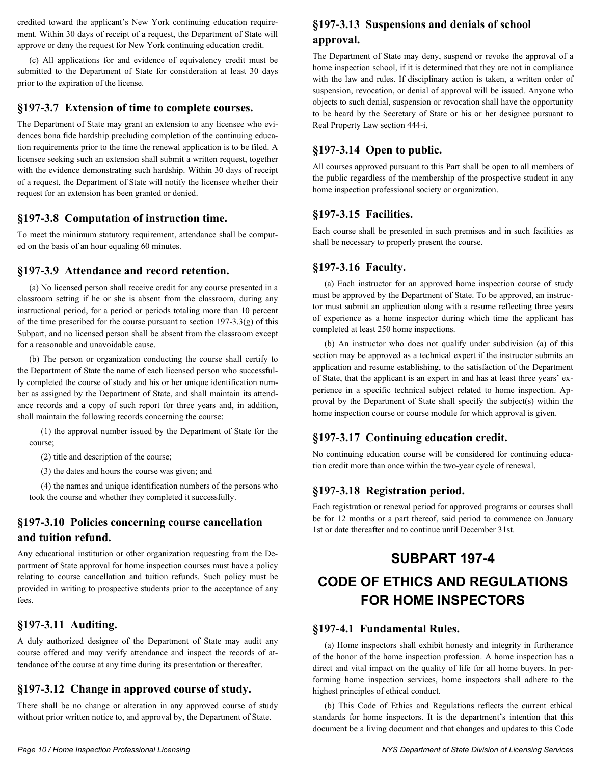credited toward the applicant's New York continuing education requirement. Within 30 days of receipt of a request, the Department of State will approve or deny the request for New York continuing education credit.

(c) All applications for and evidence of equivalency credit must be submitted to the Department of State for consideration at least 30 days prior to the expiration of the license.

#### **§197-3.7 Extension of time to complete courses.**

The Department of State may grant an extension to any licensee who evidences bona fide hardship precluding completion of the continuing education requirements prior to the time the renewal application is to be filed. A licensee seeking such an extension shall submit a written request, together with the evidence demonstrating such hardship. Within 30 days of receipt of a request, the Department of State will notify the licensee whether their request for an extension has been granted or denied.

#### **§197-3.8 Computation of instruction time.**

To meet the minimum statutory requirement, attendance shall be computed on the basis of an hour equaling 60 minutes.

#### **§197-3.9 Attendance and record retention.**

(a) No licensed person shall receive credit for any course presented in a classroom setting if he or she is absent from the classroom, during any instructional period, for a period or periods totaling more than 10 percent of the time prescribed for the course pursuant to section  $197-3.3(g)$  of this Subpart, and no licensed person shall be absent from the classroom except for a reasonable and unavoidable cause.

(b) The person or organization conducting the course shall certify to the Department of State the name of each licensed person who successfully completed the course of study and his or her unique identification number as assigned by the Department of State, and shall maintain its attendance records and a copy of such report for three years and, in addition, shall maintain the following records concerning the course:

(1) the approval number issued by the Department of State for the course;

(2) title and description of the course;

(3) the dates and hours the course was given; and

(4) the names and unique identification numbers of the persons who took the course and whether they completed it successfully.

#### **§197-3.10 Policies concerning course cancellation and tuition refund.**

Any educational institution or other organization requesting from the Department of State approval for home inspection courses must have a policy relating to course cancellation and tuition refunds. Such policy must be provided in writing to prospective students prior to the acceptance of any fees.

#### **§197-3.11 Auditing.**

A duly authorized designee of the Department of State may audit any course offered and may verify attendance and inspect the records of attendance of the course at any time during its presentation or thereafter.

#### **§197-3.12 Change in approved course of study.**

There shall be no change or alteration in any approved course of study without prior written notice to, and approval by, the Department of State.

# **§197-3.13 Suspensions and denials of school approval.**

The Department of State may deny, suspend or revoke the approval of a home inspection school, if it is determined that they are not in compliance with the law and rules. If disciplinary action is taken, a written order of suspension, revocation, or denial of approval will be issued. Anyone who objects to such denial, suspension or revocation shall have the opportunity to be heard by the Secretary of State or his or her designee pursuant to Real Property Law section 444-i.

#### **§197-3.14 Open to public.**

All courses approved pursuant to this Part shall be open to all members of the public regardless of the membership of the prospective student in any home inspection professional society or organization.

#### **§197-3.15 Facilities.**

Each course shall be presented in such premises and in such facilities as shall be necessary to properly present the course.

#### **§197-3.16 Faculty.**

(a) Each instructor for an approved home inspection course of study must be approved by the Department of State. To be approved, an instructor must submit an application along with a resume reflecting three years of experience as a home inspector during which time the applicant has completed at least 250 home inspections.

(b) An instructor who does not qualify under subdivision (a) of this section may be approved as a technical expert if the instructor submits an application and resume establishing, to the satisfaction of the Department of State, that the applicant is an expert in and has at least three years' experience in a specific technical subject related to home inspection. Approval by the Department of State shall specify the subject(s) within the home inspection course or course module for which approval is given.

#### **§197-3.17 Continuing education credit.**

No continuing education course will be considered for continuing education credit more than once within the two-year cycle of renewal.

#### **§197-3.18 Registration period.**

Each registration or renewal period for approved programs or courses shall be for 12 months or a part thereof, said period to commence on January 1st or date thereafter and to continue until December 31st.

# **SUBPART 197-4**

# **CODE OF ETHICS AND REGULATIONS FOR HOME INSPECTORS**

#### **§197-4.1 Fundamental Rules.**

(a) Home inspectors shall exhibit honesty and integrity in furtherance of the honor of the home inspection profession. A home inspection has a direct and vital impact on the quality of life for all home buyers. In performing home inspection services, home inspectors shall adhere to the highest principles of ethical conduct.

(b) This Code of Ethics and Regulations reflects the current ethical standards for home inspectors. It is the department's intention that this document be a living document and that changes and updates to this Code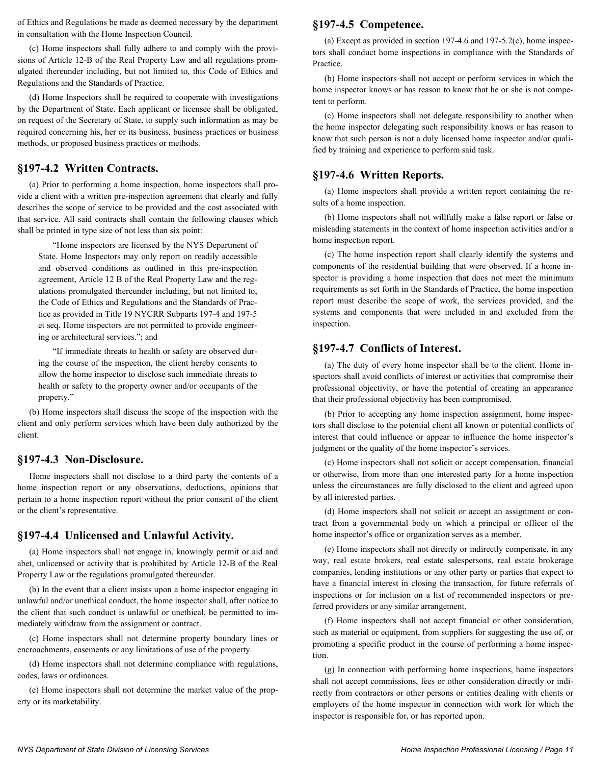of Ethics and Regulations be made as deemed necessary by the department in consultation with the Home Inspection Council.

(c) Home inspectors shall fully adhere to and comply with the provisions of Article 12-B of the Real Property Law and all regulations promulgated thereunder including, but not limited to, this Code of Ethics and Regulations and the Standards of Practice.

(d) Home Inspectors shall be required to cooperate with investigations by the Department of State. Each applicant or licensee shall be obligated, on request of the Secretary of State, to supply such information as may be required concerning his, her or its business, business practices or business methods, or proposed business practices or methods.

#### **§197-4.2 Written Contracts.**

(a) Prior to performing a home inspection, home inspectors shall provide a client with a written pre-inspection agreement that clearly and fully describes the scope of service to be provided and the cost associated with that service. All said contracts shall contain the following clauses which shall be printed in type size of not less than six point:

"Home inspectors are licensed by the NYS Department of State. Home Inspectors may only report on readily accessible and observed conditions as outlined in this pre-inspection agreement, Article 12 B of the Real Property Law and the regulations promulgated thereunder including, but not limited to, the Code of Ethics and Regulations and the Standards of Practice as provided in Title 19 NYCRR Subparts 197-4 and 197-5 et seq. Home inspectors are not permitted to provide engineering or architectural services."; and

"If immediate threats to health or safety are observed during the course of the inspection, the client hereby consents to allow the home inspector to disclose such immediate threats to health or safety to the property owner and/or occupants of the property."

(b) Home inspectors shall discuss the scope of the inspection with the client and only perform services which have been duly authorized by the client.

#### **§197-4.3 Non-Disclosure.**

Home inspectors shall not disclose to a third party the contents of a home inspection report or any observations, deductions, opinions that pertain to a home inspection report without the prior consent of the client or the client's representative.

#### **§197-4.4 Unlicensed and Unlawful Activity.**

(a) Home inspectors shall not engage in, knowingly permit or aid and abet, unlicensed or activity that is prohibited by Article 12-B of the Real Property Law or the regulations promulgated thereunder.

(b) In the event that a client insists upon a home inspector engaging in unlawful and/or unethical conduct, the home inspector shall, after notice to the client that such conduct is unlawful or unethical, be permitted to immediately withdraw from the assignment or contract.

(c) Home inspectors shall not determine property boundary lines or encroachments, easements or any limitations of use of the property.

(d) Home inspectors shall not determine compliance with regulations, codes, laws or ordinances.

(e) Home inspectors shall not determine the market value of the property or its marketability.

#### **§197-4.5 Competence.**

(a) Except as provided in section 197-4.6 and 197-5.2(c), home inspectors shall conduct home inspections in compliance with the Standards of Practice.

(b) Home inspectors shall not accept or perform services in which the home inspector knows or has reason to know that he or she is not competent to perform.

(c) Home inspectors shall not delegate responsibility to another when the home inspector delegating such responsibility knows or has reason to know that such person is not a duly licensed home inspector and/or qualified by training and experience to perform said task.

#### **§197-4.6 Written Reports.**

(a) Home inspectors shall provide a written report containing the results of a home inspection.

(b) Home inspectors shall not willfully make a false report or false or misleading statements in the context of home inspection activities and/or a home inspection report.

(c) The home inspection report shall clearly identify the systems and components of the residential building that were observed. If a home inspector is providing a home inspection that does not meet the minimum requirements as set forth in the Standards of Practice, the home inspection report must describe the scope of work, the services provided, and the systems and components that were included in and excluded from the inspection.

#### **§197-4.7 Conflicts of Interest.**

(a) The duty of every home inspector shall be to the client. Home inspectors shall avoid conflicts of interest or activities that compromise their professional objectivity, or have the potential of creating an appearance that their professional objectivity has been compromised.

(b) Prior to accepting any home inspection assignment, home inspectors shall disclose to the potential client all known or potential conflicts of interest that could influence or appear to influence the home inspector's judgment or the quality of the home inspector's services.

(c) Home inspectors shall not solicit or accept compensation, financial or otherwise, from more than one interested party for a home inspection unless the circumstances are fully disclosed to the client and agreed upon by all interested parties.

(d) Home inspectors shall not solicit or accept an assignment or contract from a governmental body on which a principal or officer of the home inspector's office or organization serves as a member.

(e) Home inspectors shall not directly or indirectly compensate, in any way, real estate brokers, real estate salespersons, real estate brokerage companies, lending institutions or any other party or parties that expect to have a financial interest in closing the transaction, for future referrals of inspections or for inclusion on a list of recommended inspectors or preferred providers or any similar arrangement.

(f) Home inspectors shall not accept financial or other consideration, such as material or equipment, from suppliers for suggesting the use of, or promoting a specific product in the course of performing a home inspection.

(g) In connection with performing home inspections, home inspectors shall not accept commissions, fees or other consideration directly or indirectly from contractors or other persons or entities dealing with clients or employers of the home inspector in connection with work for which the inspector is responsible for, or has reported upon.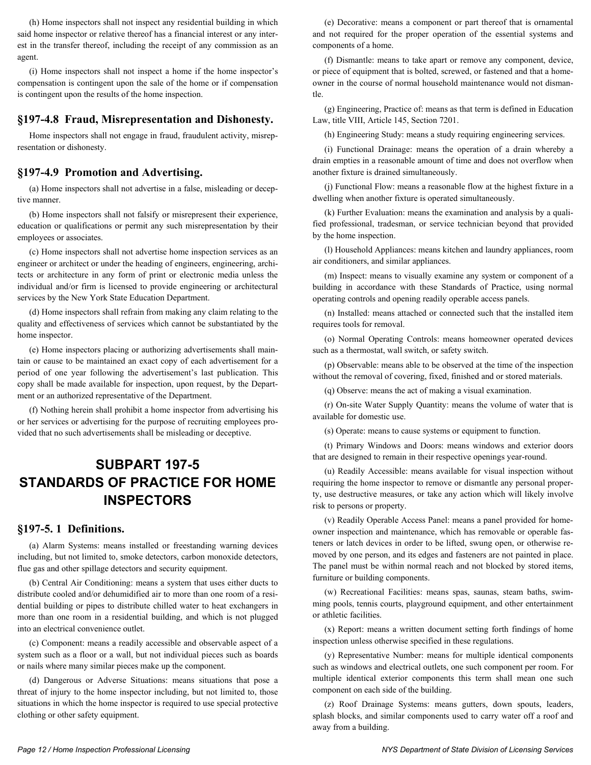(h) Home inspectors shall not inspect any residential building in which said home inspector or relative thereof has a financial interest or any interest in the transfer thereof, including the receipt of any commission as an agent.

(i) Home inspectors shall not inspect a home if the home inspector's compensation is contingent upon the sale of the home or if compensation is contingent upon the results of the home inspection.

#### **§197-4.8 Fraud, Misrepresentation and Dishonesty.**

Home inspectors shall not engage in fraud, fraudulent activity, misrepresentation or dishonesty.

#### **§197-4.9 Promotion and Advertising.**

(a) Home inspectors shall not advertise in a false, misleading or deceptive manner.

(b) Home inspectors shall not falsify or misrepresent their experience, education or qualifications or permit any such misrepresentation by their employees or associates.

(c) Home inspectors shall not advertise home inspection services as an engineer or architect or under the heading of engineers, engineering, architects or architecture in any form of print or electronic media unless the individual and/or firm is licensed to provide engineering or architectural services by the New York State Education Department.

(d) Home inspectors shall refrain from making any claim relating to the quality and effectiveness of services which cannot be substantiated by the home inspector.

(e) Home inspectors placing or authorizing advertisements shall maintain or cause to be maintained an exact copy of each advertisement for a period of one year following the advertisement's last publication. This copy shall be made available for inspection, upon request, by the Department or an authorized representative of the Department.

(f) Nothing herein shall prohibit a home inspector from advertising his or her services or advertising for the purpose of recruiting employees provided that no such advertisements shall be misleading or deceptive.

# **SUBPART 197-5 STANDARDS OF PRACTICE FOR HOME INSPECTORS**

#### **§197-5. 1 Definitions.**

(a) Alarm Systems: means installed or freestanding warning devices including, but not limited to, smoke detectors, carbon monoxide detectors, flue gas and other spillage detectors and security equipment.

(b) Central Air Conditioning: means a system that uses either ducts to distribute cooled and/or dehumidified air to more than one room of a residential building or pipes to distribute chilled water to heat exchangers in more than one room in a residential building, and which is not plugged into an electrical convenience outlet.

(c) Component: means a readily accessible and observable aspect of a system such as a floor or a wall, but not individual pieces such as boards or nails where many similar pieces make up the component.

(d) Dangerous or Adverse Situations: means situations that pose a threat of injury to the home inspector including, but not limited to, those situations in which the home inspector is required to use special protective clothing or other safety equipment.

(e) Decorative: means a component or part thereof that is ornamental and not required for the proper operation of the essential systems and components of a home.

(f) Dismantle: means to take apart or remove any component, device, or piece of equipment that is bolted, screwed, or fastened and that a homeowner in the course of normal household maintenance would not dismantle.

(g) Engineering, Practice of: means as that term is defined in Education Law, title VIII, Article 145, Section 7201.

(h) Engineering Study: means a study requiring engineering services.

(i) Functional Drainage: means the operation of a drain whereby a drain empties in a reasonable amount of time and does not overflow when another fixture is drained simultaneously.

(j) Functional Flow: means a reasonable flow at the highest fixture in a dwelling when another fixture is operated simultaneously.

(k) Further Evaluation: means the examination and analysis by a qualified professional, tradesman, or service technician beyond that provided by the home inspection.

(l) Household Appliances: means kitchen and laundry appliances, room air conditioners, and similar appliances.

(m) Inspect: means to visually examine any system or component of a building in accordance with these Standards of Practice, using normal operating controls and opening readily operable access panels.

(n) Installed: means attached or connected such that the installed item requires tools for removal.

(o) Normal Operating Controls: means homeowner operated devices such as a thermostat, wall switch, or safety switch.

(p) Observable: means able to be observed at the time of the inspection without the removal of covering, fixed, finished and or stored materials.

(q) Observe: means the act of making a visual examination.

(r) On-site Water Supply Quantity: means the volume of water that is available for domestic use.

(s) Operate: means to cause systems or equipment to function.

(t) Primary Windows and Doors: means windows and exterior doors that are designed to remain in their respective openings year-round.

(u) Readily Accessible: means available for visual inspection without requiring the home inspector to remove or dismantle any personal property, use destructive measures, or take any action which will likely involve risk to persons or property.

(v) Readily Operable Access Panel: means a panel provided for homeowner inspection and maintenance, which has removable or operable fasteners or latch devices in order to be lifted, swung open, or otherwise removed by one person, and its edges and fasteners are not painted in place. The panel must be within normal reach and not blocked by stored items, furniture or building components.

(w) Recreational Facilities: means spas, saunas, steam baths, swimming pools, tennis courts, playground equipment, and other entertainment or athletic facilities.

(x) Report: means a written document setting forth findings of home inspection unless otherwise specified in these regulations.

(y) Representative Number: means for multiple identical components such as windows and electrical outlets, one such component per room. For multiple identical exterior components this term shall mean one such component on each side of the building.

(z) Roof Drainage Systems: means gutters, down spouts, leaders, splash blocks, and similar components used to carry water off a roof and away from a building.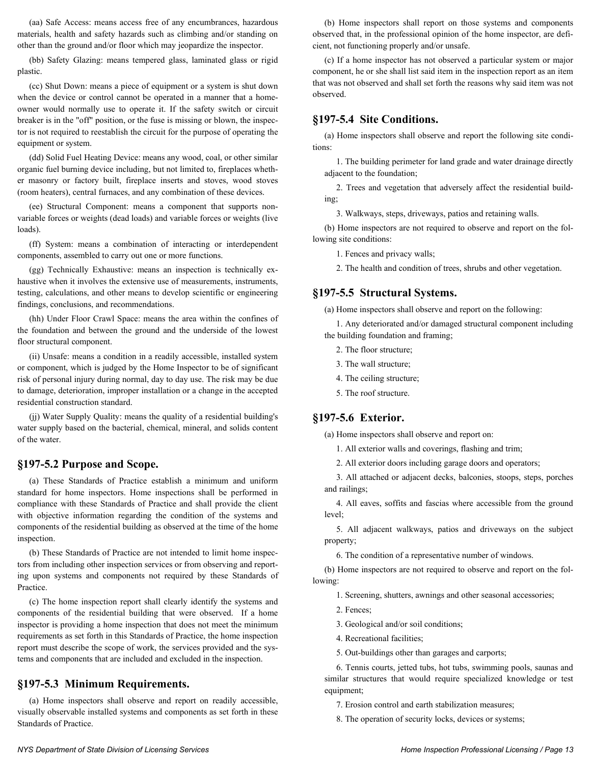(aa) Safe Access: means access free of any encumbrances, hazardous materials, health and safety hazards such as climbing and/or standing on other than the ground and/or floor which may jeopardize the inspector.

(bb) Safety Glazing: means tempered glass, laminated glass or rigid plastic.

(cc) Shut Down: means a piece of equipment or a system is shut down when the device or control cannot be operated in a manner that a homeowner would normally use to operate it. If the safety switch or circuit breaker is in the "off" position, or the fuse is missing or blown, the inspector is not required to reestablish the circuit for the purpose of operating the equipment or system.

(dd) Solid Fuel Heating Device: means any wood, coal, or other similar organic fuel burning device including, but not limited to, fireplaces whether masonry or factory built, fireplace inserts and stoves, wood stoves (room heaters), central furnaces, and any combination of these devices.

(ee) Structural Component: means a component that supports nonvariable forces or weights (dead loads) and variable forces or weights (live loads).

(ff) System: means a combination of interacting or interdependent components, assembled to carry out one or more functions.

(gg) Technically Exhaustive: means an inspection is technically exhaustive when it involves the extensive use of measurements, instruments, testing, calculations, and other means to develop scientific or engineering findings, conclusions, and recommendations.

(hh) Under Floor Crawl Space: means the area within the confines of the foundation and between the ground and the underside of the lowest floor structural component.

(ii) Unsafe: means a condition in a readily accessible, installed system or component, which is judged by the Home Inspector to be of significant risk of personal injury during normal, day to day use. The risk may be due to damage, deterioration, improper installation or a change in the accepted residential construction standard.

(jj) Water Supply Quality: means the quality of a residential building's water supply based on the bacterial, chemical, mineral, and solids content of the water.

#### **§197-5.2 Purpose and Scope.**

(a) These Standards of Practice establish a minimum and uniform standard for home inspectors. Home inspections shall be performed in compliance with these Standards of Practice and shall provide the client with objective information regarding the condition of the systems and components of the residential building as observed at the time of the home inspection.

(b) These Standards of Practice are not intended to limit home inspectors from including other inspection services or from observing and reporting upon systems and components not required by these Standards of Practice.

(c) The home inspection report shall clearly identify the systems and components of the residential building that were observed. If a home inspector is providing a home inspection that does not meet the minimum requirements as set forth in this Standards of Practice, the home inspection report must describe the scope of work, the services provided and the systems and components that are included and excluded in the inspection.

#### **§197-5.3 Minimum Requirements.**

(a) Home inspectors shall observe and report on readily accessible, visually observable installed systems and components as set forth in these Standards of Practice.

(b) Home inspectors shall report on those systems and components observed that, in the professional opinion of the home inspector, are deficient, not functioning properly and/or unsafe.

(c) If a home inspector has not observed a particular system or major component, he or she shall list said item in the inspection report as an item that was not observed and shall set forth the reasons why said item was not observed.

#### **§197-5.4 Site Conditions.**

(a) Home inspectors shall observe and report the following site conditions:

1. The building perimeter for land grade and water drainage directly adjacent to the foundation;

2. Trees and vegetation that adversely affect the residential building;

3. Walkways, steps, driveways, patios and retaining walls.

(b) Home inspectors are not required to observe and report on the following site conditions:

1. Fences and privacy walls;

2. The health and condition of trees, shrubs and other vegetation.

#### **§197-5.5 Structural Systems.**

(a) Home inspectors shall observe and report on the following:

1. Any deteriorated and/or damaged structural component including the building foundation and framing;

- 2. The floor structure;
- 3. The wall structure;
- 4. The ceiling structure;
- 5. The roof structure.

#### **§197-5.6 Exterior.**

(a) Home inspectors shall observe and report on:

1. All exterior walls and coverings, flashing and trim;

2. All exterior doors including garage doors and operators;

3. All attached or adjacent decks, balconies, stoops, steps, porches and railings;

4. All eaves, soffits and fascias where accessible from the ground level;

5. All adjacent walkways, patios and driveways on the subject property;

6. The condition of a representative number of windows.

(b) Home inspectors are not required to observe and report on the following:

1. Screening, shutters, awnings and other seasonal accessories;

- 2. Fences;
- 3. Geological and/or soil conditions;
- 4. Recreational facilities;
- 5. Out-buildings other than garages and carports;

6. Tennis courts, jetted tubs, hot tubs, swimming pools, saunas and similar structures that would require specialized knowledge or test equipment;

7. Erosion control and earth stabilization measures;

8. The operation of security locks, devices or systems;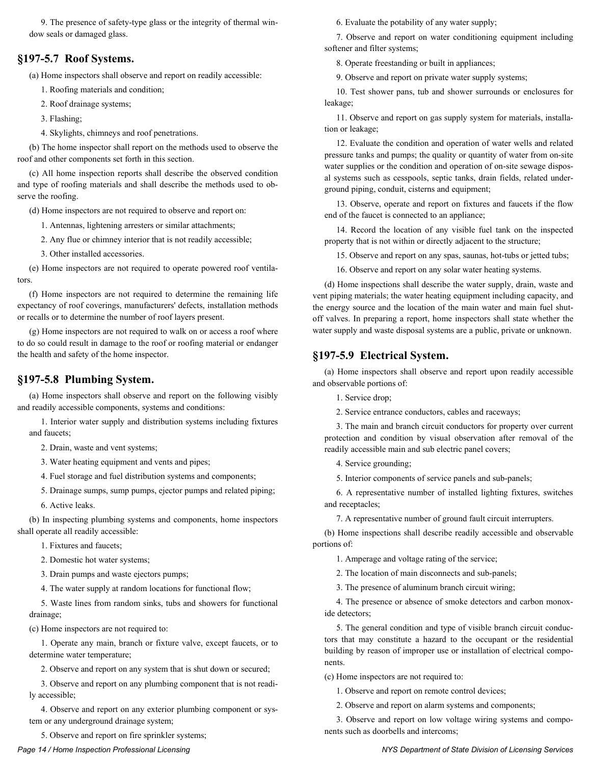9. The presence of safety-type glass or the integrity of thermal window seals or damaged glass.

#### **§197-5.7 Roof Systems.**

(a) Home inspectors shall observe and report on readily accessible:

1. Roofing materials and condition;

- 2. Roof drainage systems;
- 3. Flashing;

4. Skylights, chimneys and roof penetrations.

(b) The home inspector shall report on the methods used to observe the roof and other components set forth in this section.

(c) All home inspection reports shall describe the observed condition and type of roofing materials and shall describe the methods used to observe the roofing.

(d) Home inspectors are not required to observe and report on:

1. Antennas, lightening arresters or similar attachments;

2. Any flue or chimney interior that is not readily accessible;

3. Other installed accessories.

(e) Home inspectors are not required to operate powered roof ventilators.

(f) Home inspectors are not required to determine the remaining life expectancy of roof coverings, manufacturers' defects, installation methods or recalls or to determine the number of roof layers present.

(g) Home inspectors are not required to walk on or access a roof where to do so could result in damage to the roof or roofing material or endanger the health and safety of the home inspector.

#### **§197-5.8 Plumbing System.**

(a) Home inspectors shall observe and report on the following visibly and readily accessible components, systems and conditions:

1. Interior water supply and distribution systems including fixtures and faucets;

2. Drain, waste and vent systems;

3. Water heating equipment and vents and pipes;

4. Fuel storage and fuel distribution systems and components;

5. Drainage sumps, sump pumps, ejector pumps and related piping; 6. Active leaks.

(b) In inspecting plumbing systems and components, home inspectors shall operate all readily accessible:

1. Fixtures and faucets;

2. Domestic hot water systems;

3. Drain pumps and waste ejectors pumps;

4. The water supply at random locations for functional flow;

5. Waste lines from random sinks, tubs and showers for functional drainage;

(c) Home inspectors are not required to:

1. Operate any main, branch or fixture valve, except faucets, or to determine water temperature;

2. Observe and report on any system that is shut down or secured;

3. Observe and report on any plumbing component that is not readily accessible;

4. Observe and report on any exterior plumbing component or system or any underground drainage system;

5. Observe and report on fire sprinkler systems;

6. Evaluate the potability of any water supply;

7. Observe and report on water conditioning equipment including softener and filter systems;

8. Operate freestanding or built in appliances;

9. Observe and report on private water supply systems;

10. Test shower pans, tub and shower surrounds or enclosures for leakage;

11. Observe and report on gas supply system for materials, installation or leakage;

12. Evaluate the condition and operation of water wells and related pressure tanks and pumps; the quality or quantity of water from on-site water supplies or the condition and operation of on-site sewage disposal systems such as cesspools, septic tanks, drain fields, related underground piping, conduit, cisterns and equipment;

13. Observe, operate and report on fixtures and faucets if the flow end of the faucet is connected to an appliance;

14. Record the location of any visible fuel tank on the inspected property that is not within or directly adjacent to the structure;

15. Observe and report on any spas, saunas, hot-tubs or jetted tubs;

16. Observe and report on any solar water heating systems.

(d) Home inspections shall describe the water supply, drain, waste and vent piping materials; the water heating equipment including capacity, and the energy source and the location of the main water and main fuel shutoff valves. In preparing a report, home inspectors shall state whether the water supply and waste disposal systems are a public, private or unknown.

#### **§197-5.9 Electrical System.**

(a) Home inspectors shall observe and report upon readily accessible and observable portions of:

1. Service drop;

2. Service entrance conductors, cables and raceways;

3. The main and branch circuit conductors for property over current protection and condition by visual observation after removal of the readily accessible main and sub electric panel covers;

4. Service grounding;

5. Interior components of service panels and sub-panels;

6. A representative number of installed lighting fixtures, switches and receptacles;

7. A representative number of ground fault circuit interrupters.

(b) Home inspections shall describe readily accessible and observable portions of:

1. Amperage and voltage rating of the service;

2. The location of main disconnects and sub-panels;

3. The presence of aluminum branch circuit wiring;

4. The presence or absence of smoke detectors and carbon monoxide detectors;

5. The general condition and type of visible branch circuit conductors that may constitute a hazard to the occupant or the residential building by reason of improper use or installation of electrical components.

(c) Home inspectors are not required to:

1. Observe and report on remote control devices;

2. Observe and report on alarm systems and components;

3. Observe and report on low voltage wiring systems and components such as doorbells and intercoms;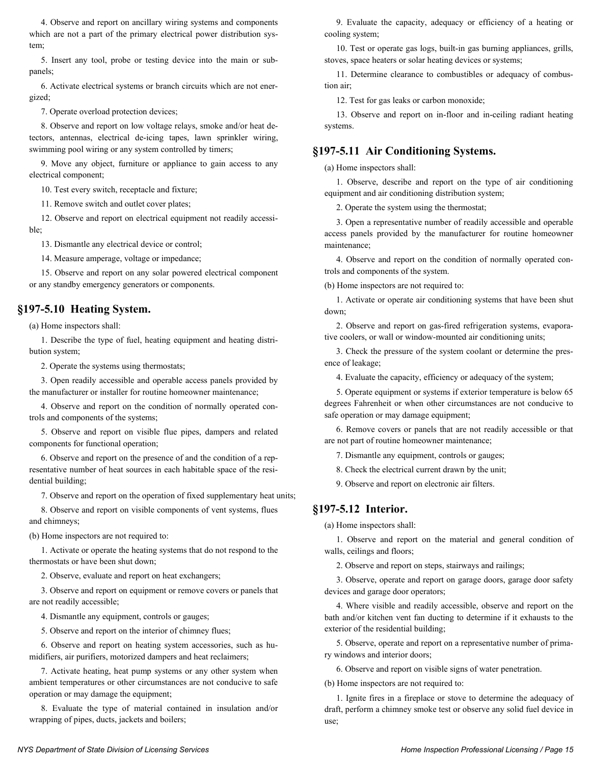4. Observe and report on ancillary wiring systems and components which are not a part of the primary electrical power distribution system;

5. Insert any tool, probe or testing device into the main or subpanels;

6. Activate electrical systems or branch circuits which are not energized;

7. Operate overload protection devices;

8. Observe and report on low voltage relays, smoke and/or heat detectors, antennas, electrical de-icing tapes, lawn sprinkler wiring, swimming pool wiring or any system controlled by timers;

9. Move any object, furniture or appliance to gain access to any electrical component;

10. Test every switch, receptacle and fixture;

11. Remove switch and outlet cover plates;

12. Observe and report on electrical equipment not readily accessible;

13. Dismantle any electrical device or control;

14. Measure amperage, voltage or impedance;

15. Observe and report on any solar powered electrical component or any standby emergency generators or components.

#### **§197-5.10 Heating System.**

(a) Home inspectors shall:

1. Describe the type of fuel, heating equipment and heating distribution system;

2. Operate the systems using thermostats;

3. Open readily accessible and operable access panels provided by the manufacturer or installer for routine homeowner maintenance;

4. Observe and report on the condition of normally operated controls and components of the systems;

5. Observe and report on visible flue pipes, dampers and related components for functional operation;

6. Observe and report on the presence of and the condition of a representative number of heat sources in each habitable space of the residential building;

7. Observe and report on the operation of fixed supplementary heat units;

8. Observe and report on visible components of vent systems, flues and chimneys;

(b) Home inspectors are not required to:

1. Activate or operate the heating systems that do not respond to the thermostats or have been shut down;

2. Observe, evaluate and report on heat exchangers;

3. Observe and report on equipment or remove covers or panels that are not readily accessible;

4. Dismantle any equipment, controls or gauges;

5. Observe and report on the interior of chimney flues;

6. Observe and report on heating system accessories, such as humidifiers, air purifiers, motorized dampers and heat reclaimers;

7. Activate heating, heat pump systems or any other system when ambient temperatures or other circumstances are not conducive to safe operation or may damage the equipment;

8. Evaluate the type of material contained in insulation and/or wrapping of pipes, ducts, jackets and boilers;

9. Evaluate the capacity, adequacy or efficiency of a heating or cooling system;

10. Test or operate gas logs, built-in gas burning appliances, grills, stoves, space heaters or solar heating devices or systems;

11. Determine clearance to combustibles or adequacy of combustion air;

12. Test for gas leaks or carbon monoxide;

13. Observe and report on in-floor and in-ceiling radiant heating systems.

#### **§197-5.11 Air Conditioning Systems.**

(a) Home inspectors shall:

1. Observe, describe and report on the type of air conditioning equipment and air conditioning distribution system;

2. Operate the system using the thermostat;

3. Open a representative number of readily accessible and operable access panels provided by the manufacturer for routine homeowner maintenance;

4. Observe and report on the condition of normally operated controls and components of the system.

(b) Home inspectors are not required to:

1. Activate or operate air conditioning systems that have been shut down;

2. Observe and report on gas-fired refrigeration systems, evaporative coolers, or wall or window-mounted air conditioning units;

3. Check the pressure of the system coolant or determine the presence of leakage;

4. Evaluate the capacity, efficiency or adequacy of the system;

5. Operate equipment or systems if exterior temperature is below 65 degrees Fahrenheit or when other circumstances are not conducive to safe operation or may damage equipment;

6. Remove covers or panels that are not readily accessible or that are not part of routine homeowner maintenance;

7. Dismantle any equipment, controls or gauges;

8. Check the electrical current drawn by the unit;

9. Observe and report on electronic air filters.

#### **§197-5.12 Interior.**

(a) Home inspectors shall:

1. Observe and report on the material and general condition of walls, ceilings and floors;

2. Observe and report on steps, stairways and railings;

3. Observe, operate and report on garage doors, garage door safety devices and garage door operators;

4. Where visible and readily accessible, observe and report on the bath and/or kitchen vent fan ducting to determine if it exhausts to the exterior of the residential building;

5. Observe, operate and report on a representative number of primary windows and interior doors;

6. Observe and report on visible signs of water penetration.

(b) Home inspectors are not required to:

1. Ignite fires in a fireplace or stove to determine the adequacy of draft, perform a chimney smoke test or observe any solid fuel device in use;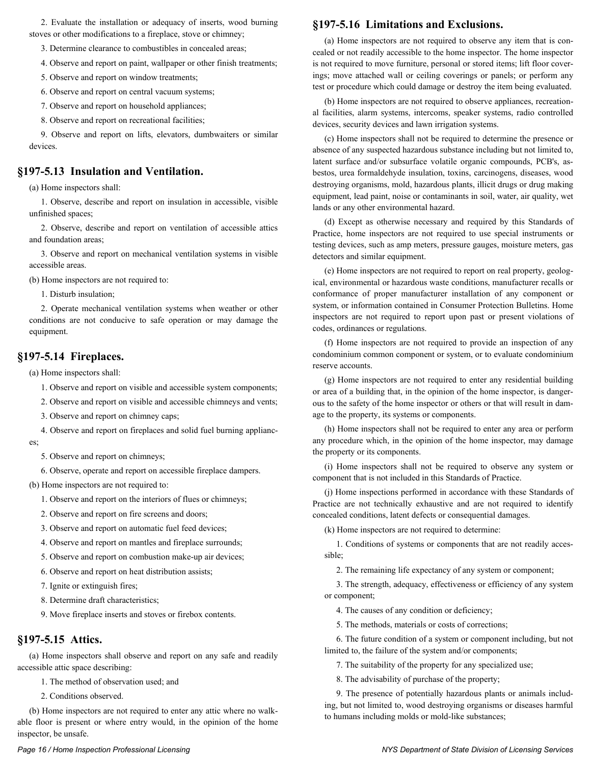2. Evaluate the installation or adequacy of inserts, wood burning stoves or other modifications to a fireplace, stove or chimney;

3. Determine clearance to combustibles in concealed areas;

4. Observe and report on paint, wallpaper or other finish treatments;

5. Observe and report on window treatments;

6. Observe and report on central vacuum systems;

7. Observe and report on household appliances;

8. Observe and report on recreational facilities;

9. Observe and report on lifts, elevators, dumbwaiters or similar devices.

#### **§197-5.13 Insulation and Ventilation.**

(a) Home inspectors shall:

1. Observe, describe and report on insulation in accessible, visible unfinished spaces;

2. Observe, describe and report on ventilation of accessible attics and foundation areas;

3. Observe and report on mechanical ventilation systems in visible accessible areas.

(b) Home inspectors are not required to:

1. Disturb insulation;

2. Operate mechanical ventilation systems when weather or other conditions are not conducive to safe operation or may damage the equipment.

#### **§197-5.14 Fireplaces.**

(a) Home inspectors shall:

1. Observe and report on visible and accessible system components;

2. Observe and report on visible and accessible chimneys and vents;

3. Observe and report on chimney caps;

4. Observe and report on fireplaces and solid fuel burning applianc-

es;

5. Observe and report on chimneys;

6. Observe, operate and report on accessible fireplace dampers.

(b) Home inspectors are not required to:

1. Observe and report on the interiors of flues or chimneys;

2. Observe and report on fire screens and doors;

3. Observe and report on automatic fuel feed devices;

4. Observe and report on mantles and fireplace surrounds;

5. Observe and report on combustion make-up air devices;

6. Observe and report on heat distribution assists;

7. Ignite or extinguish fires;

8. Determine draft characteristics;

9. Move fireplace inserts and stoves or firebox contents.

#### **§197-5.15 Attics.**

(a) Home inspectors shall observe and report on any safe and readily accessible attic space describing:

1. The method of observation used; and

2. Conditions observed.

(b) Home inspectors are not required to enter any attic where no walkable floor is present or where entry would, in the opinion of the home inspector, be unsafe.

#### **§197-5.16 Limitations and Exclusions.**

(a) Home inspectors are not required to observe any item that is concealed or not readily accessible to the home inspector. The home inspector is not required to move furniture, personal or stored items; lift floor coverings; move attached wall or ceiling coverings or panels; or perform any test or procedure which could damage or destroy the item being evaluated.

(b) Home inspectors are not required to observe appliances, recreational facilities, alarm systems, intercoms, speaker systems, radio controlled devices, security devices and lawn irrigation systems.

(c) Home inspectors shall not be required to determine the presence or absence of any suspected hazardous substance including but not limited to, latent surface and/or subsurface volatile organic compounds, PCB's, asbestos, urea formaldehyde insulation, toxins, carcinogens, diseases, wood destroying organisms, mold, hazardous plants, illicit drugs or drug making equipment, lead paint, noise or contaminants in soil, water, air quality, wet lands or any other environmental hazard.

(d) Except as otherwise necessary and required by this Standards of Practice, home inspectors are not required to use special instruments or testing devices, such as amp meters, pressure gauges, moisture meters, gas detectors and similar equipment.

(e) Home inspectors are not required to report on real property, geological, environmental or hazardous waste conditions, manufacturer recalls or conformance of proper manufacturer installation of any component or system, or information contained in Consumer Protection Bulletins. Home inspectors are not required to report upon past or present violations of codes, ordinances or regulations.

(f) Home inspectors are not required to provide an inspection of any condominium common component or system, or to evaluate condominium reserve accounts.

(g) Home inspectors are not required to enter any residential building or area of a building that, in the opinion of the home inspector, is dangerous to the safety of the home inspector or others or that will result in damage to the property, its systems or components.

(h) Home inspectors shall not be required to enter any area or perform any procedure which, in the opinion of the home inspector, may damage the property or its components.

(i) Home inspectors shall not be required to observe any system or component that is not included in this Standards of Practice.

(j) Home inspections performed in accordance with these Standards of Practice are not technically exhaustive and are not required to identify concealed conditions, latent defects or consequential damages.

(k) Home inspectors are not required to determine:

1. Conditions of systems or components that are not readily accessible;

2. The remaining life expectancy of any system or component;

3. The strength, adequacy, effectiveness or efficiency of any system or component;

4. The causes of any condition or deficiency;

5. The methods, materials or costs of corrections;

6. The future condition of a system or component including, but not limited to, the failure of the system and/or components;

7. The suitability of the property for any specialized use;

8. The advisability of purchase of the property;

9. The presence of potentially hazardous plants or animals including, but not limited to, wood destroying organisms or diseases harmful to humans including molds or mold-like substances;